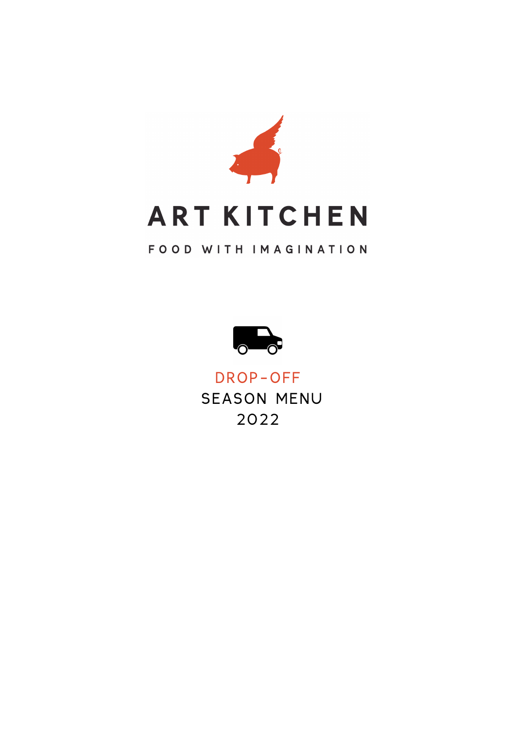

# FOOD WITH IMAGINATION



DROP-OFF SEASON MENU 2022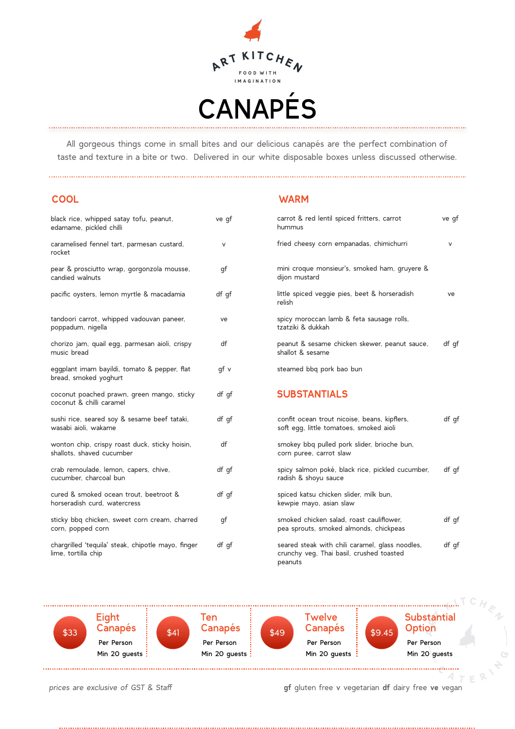

All gorgeous things come in small bites and our delicious canapés are the perfect combination of taste and texture in a bite or two. Delivered in our white disposable boxes unless discussed otherwise.

### **COOL WARM**

| black rice, whipped satay tofu, peanut,<br>edamame, pickled chilli          | ve gf |
|-----------------------------------------------------------------------------|-------|
| caramelised fennel tart, parmesan custard,<br>rocket                        | V     |
| pear & prosciutto wrap, gorgonzola mousse,<br>candied walnuts               | gf    |
| pacific oysters, lemon myrtle & macadamia                                   | df gf |
| tandoori carrot, whipped vadouvan paneer,<br>poppadum, nigella              | ve    |
| chorizo jam, quail egg, parmesan aioli, crispy<br>music bread               | df    |
| eggplant imam bayildi, tomato & pepper, flat<br>bread, smoked yoghurt       | qf v  |
| coconut poached prawn, green mango, sticky<br>coconut & chilli caramel      | df gf |
| sushi rice, seared soy & sesame beef tataki,<br>wasabi aioli, wakame        | df gf |
| wonton chip, crispy roast duck, sticky hoisin,<br>shallots, shaved cucumber | df    |
| crab remoulade, lemon, capers, chive,<br>cucumber, charcoal bun             | df gf |
| cured & smoked ocean trout, beetroot &<br>horseradish curd. watercress      | df gf |
| sticky bbq chicken, sweet corn cream, charred<br>corn, popped corn          | gf    |
| chargrilled 'tequila' steak, chipotle mayo, finger<br>lime, tortilla chip   | df qf |

| carrot & red lentil spiced fritters, carrot<br>hummus                                                  | ve gf |
|--------------------------------------------------------------------------------------------------------|-------|
| fried cheesy corn empanadas, chimichurri                                                               | v     |
| mini croque monsieur's, smoked ham, gruyere &<br>dijon mustard                                         |       |
| little spiced veggie pies, beet & horseradish<br>relish                                                | ve    |
| spicy moroccan lamb & feta sausage rolls,<br>tzatziki & dukkah                                         |       |
| peanut & sesame chicken skewer, peanut sauce,<br>shallot & sesame                                      | df qf |
| steamed bbq pork bao bun                                                                               |       |
| <b>SUBSTANTIALS</b>                                                                                    |       |
| confit ocean trout nicoise, beans, kipflers,<br>soft egg, little tomatoes, smoked aioli                | df gf |
| smokey bbq pulled pork slider, brioche bun,<br>corn puree, carrot slaw                                 |       |
| spicy salmon poké, black rice, pickled cucumber,<br>radish & shoyu sauce                               | df qf |
| spiced katsu chicken slider, milk bun,<br>kewpie mayo, asian slaw                                      |       |
| smoked chicken salad, roast cauliflower,<br>pea sprouts, smoked almonds, chickpeas                     | df qf |
| seared steak with chili caramel, glass noodles,<br>crunchy veg, Thai basil, crushed toasted<br>peanuts | df gf |



*prices are exclusive of GST & Staff* **gf** gluten free v vegetarian **df** dairy free **ve** vegan

 $4<sub>T</sub>$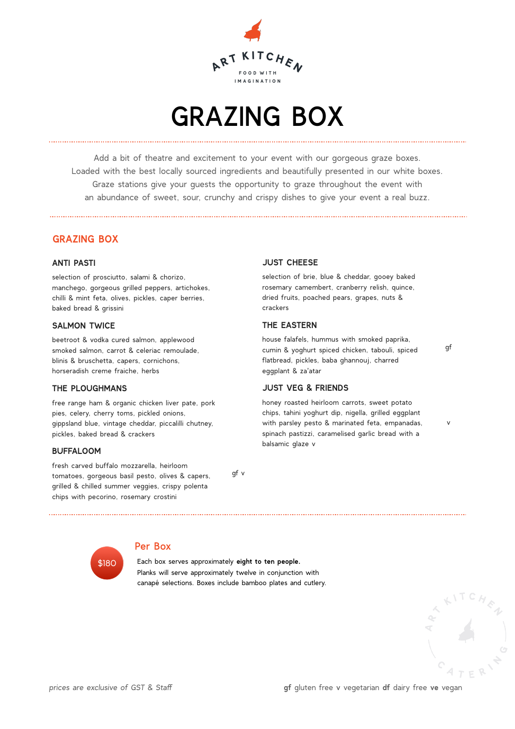

# GRAZING BOX

Add a bit of theatre and excitement to your event with our gorgeous graze boxes. Loaded with the best locally sourced ingredients and beautifully presented in our white boxes. Graze stations give your guests the opportunity to graze throughout the event with an abundance of sweet, sour, crunchy and crispy dishes to give your event a real buzz.

### **GRAZING BOX**

#### **ANTI PASTI**

selection of prosciutto, salami & chorizo, manchego, gorgeous grilled peppers, artichokes, chilli & mint feta, olives, pickles, caper berries, baked bread & grissini

#### **SALMON TWICE**

beetroot & vodka cured salmon, applewood smoked salmon, carrot & celeriac remoulade, blinis & bruschetta, capers, cornichons, horseradish creme fraiche, herbs

#### **THE PLOUGHMANS**

free range ham & organic chicken liver pate, pork pies, celery, cherry toms, pickled onions, gippsland blue, vintage cheddar, piccalilli chutney, pickles, baked bread & crackers

#### **BUFFALOOM**

fresh carved buffalo mozzarella, heirloom tomatoes, gorgeous basil pesto, olives & capers, grilled & chilled summer veggies, crispy polenta chips with pecorino, rosemary crostini

gf v

#### **JUST CHEESE**

selection of brie, blue & cheddar, gooey baked rosemary camembert, cranberry relish, quince, dried fruits, poached pears, grapes, nuts & crackers

#### **THE EASTERN**

house falafels, hummus with smoked paprika, cumin & yoghurt spiced chicken, tabouli, spiced flatbread, pickles, baba ghannouj, charred eggplant & za'atar

#### **JUST VEG & FRIENDS**

honey roasted heirloom carrots, sweet potato chips, tahini yoghurt dip, nigella, grilled eggplant with parsley pesto & marinated feta, empanadas, spinach pastizzi, caramelised garlic bread with a balsamic glaze v



### Per Box

 Each box serves approximately **eight to ten people.** Planks will serve approximately twelve in conjunction with canapé selections. Boxes include bamboo plates and cutlery.



gf

v